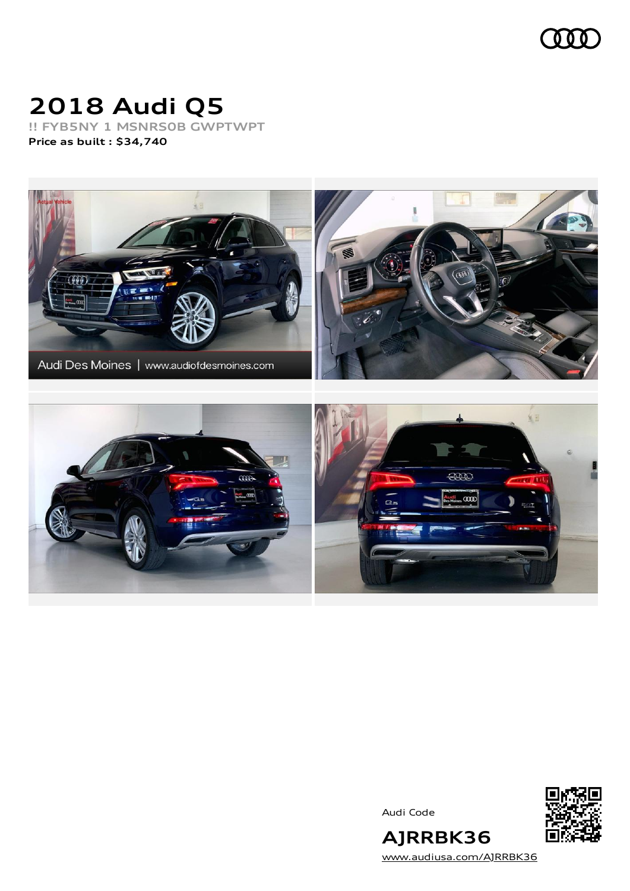

# **2018 Audi Q5**

**!! FYB5NY 1 MSNRS0B GWPTWPT Price as built [:](#page-6-0) \$34,740**



Audi Code



[www.audiusa.com/AJRRBK36](https://www.audiusa.com/AJRRBK36)

**AJRRBK36**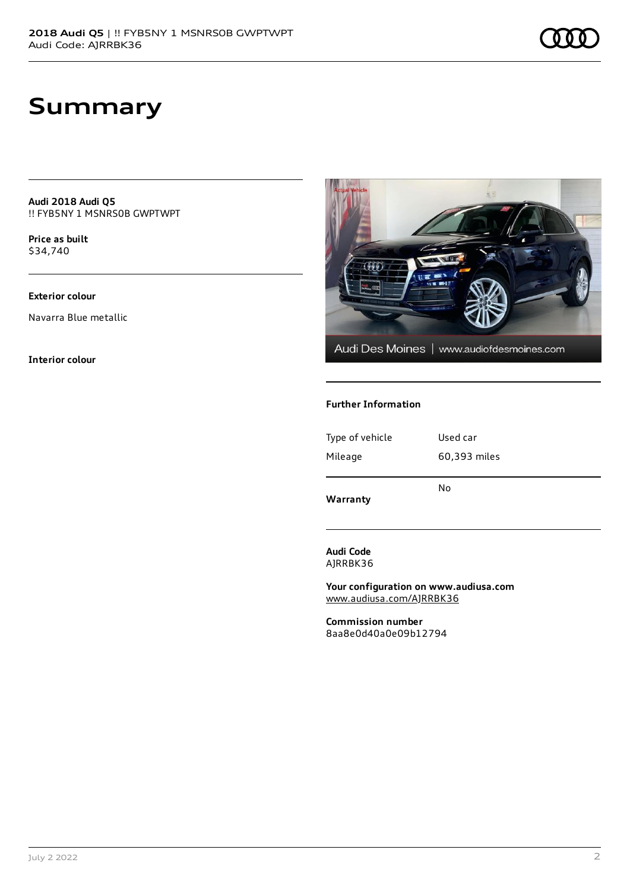**Audi 2018 Audi Q5** !! FYB5NY 1 MSNRS0B GWPTWPT

**Price as buil[t](#page-6-0)** \$34,740

#### **Exterior colour**

Navarra Blue metallic

**Interior colour**



#### **Further Information**

| Type of vehicle | Used car     |
|-----------------|--------------|
| Mileage         | 60,393 miles |
| Warranty        | No           |

**Audi Code** AJRRBK36

**Your configuration on www.audiusa.com** [www.audiusa.com/AJRRBK36](https://www.audiusa.com/AJRRBK36)

**Commission number** 8aa8e0d40a0e09b12794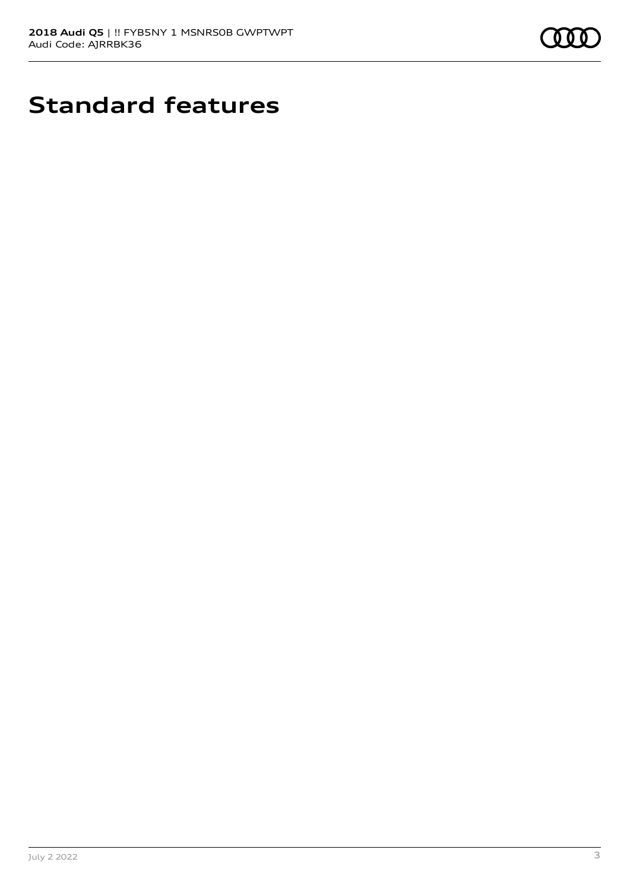

## **Standard features**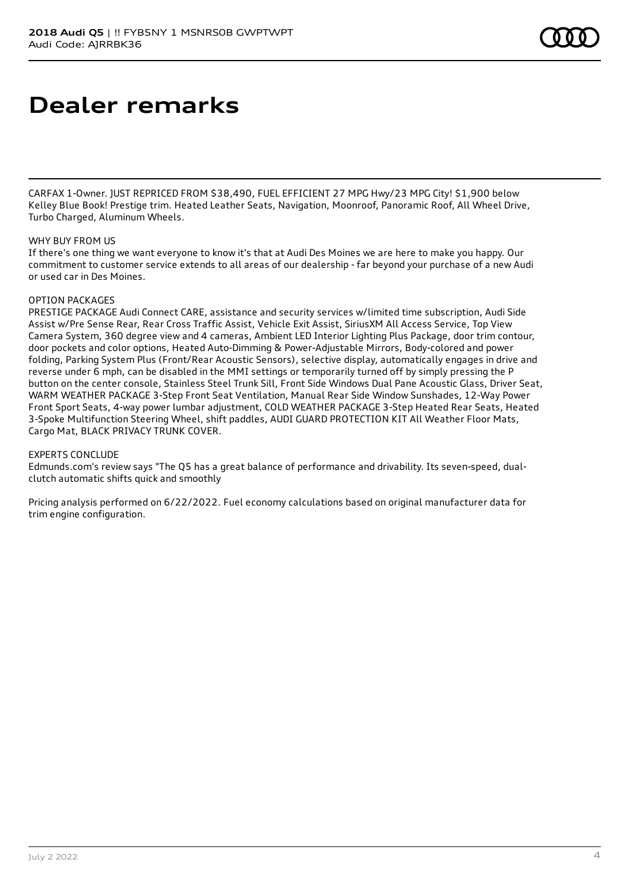## **Dealer remarks**

CARFAX 1-Owner. JUST REPRICED FROM \$38,490, FUEL EFFICIENT 27 MPG Hwy/23 MPG City! \$1,900 below Kelley Blue Book! Prestige trim. Heated Leather Seats, Navigation, Moonroof, Panoramic Roof, All Wheel Drive, Turbo Charged, Aluminum Wheels.

#### WHY **BUY FROM US**

If there's one thing we want everyone to know it's that at Audi Des Moines we are here to make you happy. Our commitment to customer service extends to all areas of our dealership - far beyond your purchase of a new Audi or used car in Des Moines.

#### OPTION PACKAGES

PRESTIGE PACKAGE Audi Connect CARE, assistance and security services w/limited time subscription, Audi Side Assist w/Pre Sense Rear, Rear Cross Traffic Assist, Vehicle Exit Assist, SiriusXM All Access Service, Top View Camera System, 360 degree view and 4 cameras, Ambient LED Interior Lighting Plus Package, door trim contour, door pockets and color options, Heated Auto-Dimming & Power-Adjustable Mirrors, Body-colored and power folding, Parking System Plus (Front/Rear Acoustic Sensors), selective display, automatically engages in drive and reverse under 6 mph, can be disabled in the MMI settings or temporarily turned off by simply pressing the P button on the center console, Stainless Steel Trunk Sill, Front Side Windows Dual Pane Acoustic Glass, Driver Seat, WARM WEATHER PACKAGE 3-Step Front Seat Ventilation, Manual Rear Side Window Sunshades, 12-Way Power Front Sport Seats, 4-way power lumbar adjustment, COLD WEATHER PACKAGE 3-Step Heated Rear Seats, Heated 3-Spoke Multifunction Steering Wheel, shift paddles, AUDI GUARD PROTECTION KIT All Weather Floor Mats, Cargo Mat, BLACK PRIVACY TRUNK COVER.

#### EXPERTS CONCLUDE

Edmunds.com's review says "The Q5 has a great balance of performance and drivability. Its seven-speed, dualclutch automatic shifts quick and smoothly

Pricing analysis performed on 6/22/2022. Fuel economy calculations based on original manufacturer data for trim engine configuration.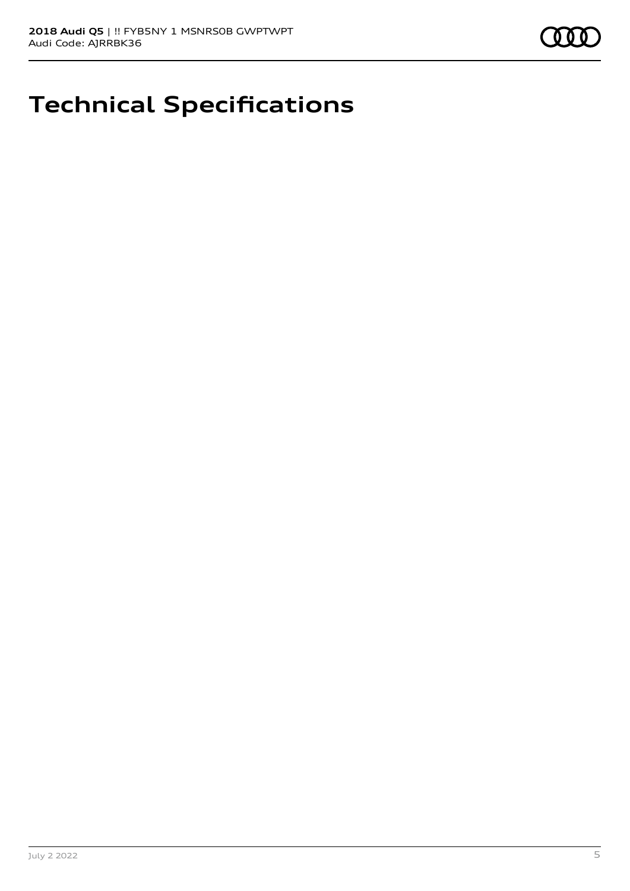

## **Technical Specifications**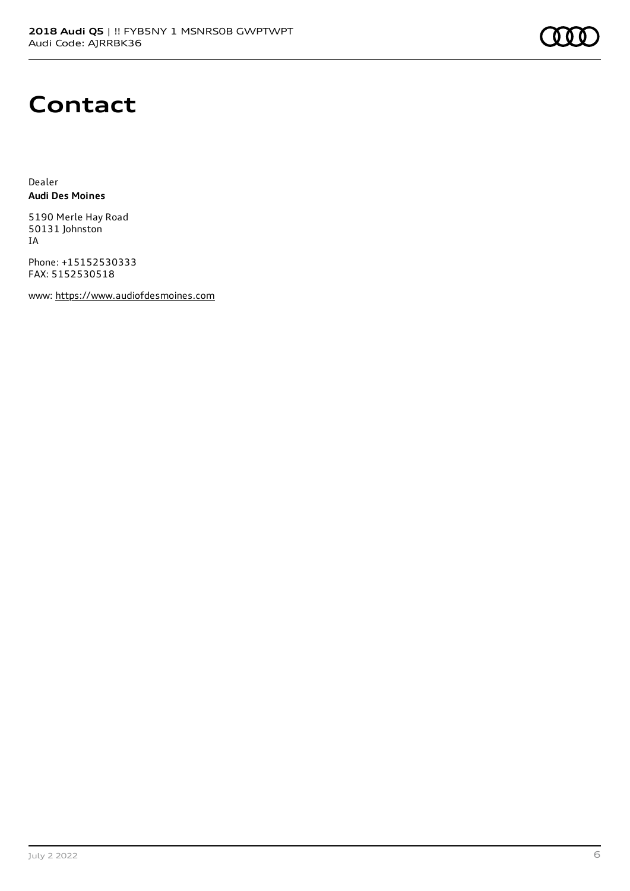### **Contact**

Dealer **Audi Des Moines**

5190 Merle Hay Road 50131 Johnston IA

Phone: +15152530333 FAX: 5152530518

www: [https://www.audiofdesmoines.com](https://www.audiofdesmoines.com/)